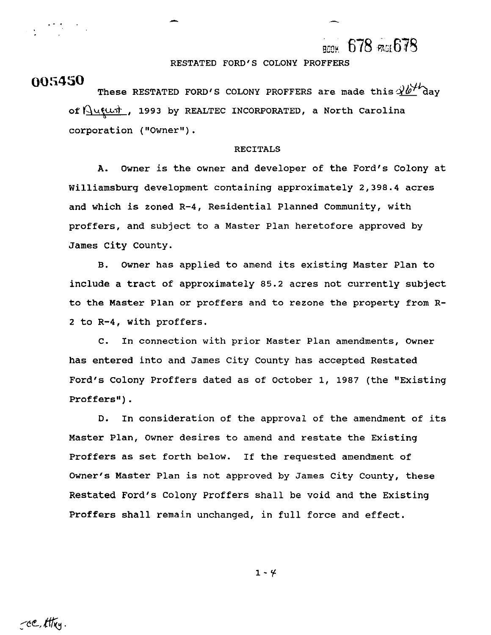## 678 PAGE 678

RESTATED FORD'S COLONY PROFFERS

**005450** These RESTATED FORD'S COLONY PROFFERS are made this  $3b^{1/2}$ dav of  $\frac{\Delta\mu\mu\sigma}{\sigma}$ , 1993 by REALTEC INCORPORATED, a North Carolina corporation ("Owner") .

#### RECITALS

**A.** Owner is the owner and developer of the Ford's Colony at Williamsburg development containing approximately 2,398.4 acres and which is zoned R-4, Residential Planned Community, with proffers, and subject to a Master Plan heretofore approved by James City County.

B. Owner has applied to amend its existing Master Plan to include a tract of approximately 85.2 acres not currently subject to the Master Plan or proffers and to rezone the property from R-2 to R-4, with proffers.

C. In connection with prior Master Plan amendments, Owner has entered into and James City County has accepted Restated Ford's Colony Proffers dated as of October 1, 1987 (the "Existing Proffers").

D. In consideration of the approval of the amendment of its Master Plan, Owner desires to amend and restate the Existing Proffers as set forth below. If the requested amendment of Owner's Master Plan is not approved by James City County, these Restated Ford's Colony Proffers shall be void and the Existing Proffers shall remain unchanged, in full force and effect.

 $1 - 4$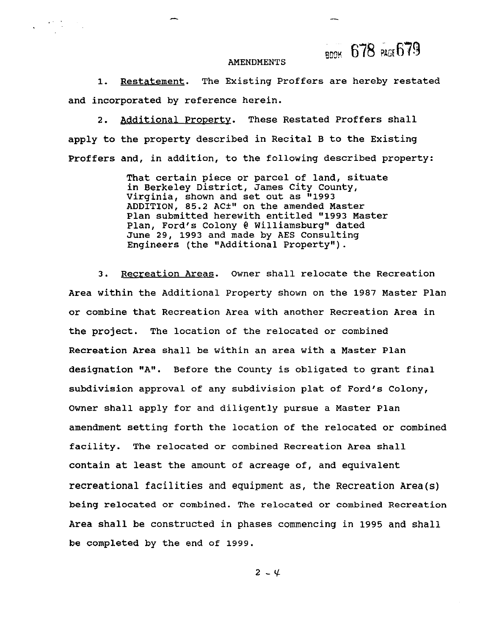**BE% 678** wat679

#### **AMENDMENTS**

**1.** Restatement. The Existing Proffers are hereby restated and incorporated by reference herein.

2. Additional Property. These Restated Proffers shall apply to the property described in Recital B to the Existing Proffers and, in addition, to the following described property:

> That certain piece or parcel of land, situate in Berkeley District, James City County, Virginia, shown and set out as **"1993**  ADDITION, 85.2 AC<sup>+</sup>" on the amended Master Plan submitted herewith entitled **"1993** Master Plan, Ford's Colony **4** Williamsburg" dated June 29, **1993** and made by AES Consulting Engineers (the "Additional Property").

3. Recreation Areas. Owner shall relocate the Recreation Area within the Additional Property shown on the **1987** Master Plan or combine that Recreation Area with another Recreation Area in the project. The location of the relocated or combined Recreation Area shall be within an area with a Master Plan designation "A". Before the County is obligated to grant final subdivision approval of any subdivision plat of Ford's Colony, Owner shall apply for and diligently pursue a Master Plan amendment setting forth the location of the relocated or combined facility. The relocated or combined Recreation Area shall contain at least the amount of acreage of, and equivalent recreational facilities and equipment as, the Recreation Area(s) being relocated or combined. The relocated or combined Recreation Area shall be constructed in phases commencing in **1995** and shall be completed by the end of **1999.** 

 $2 - 4$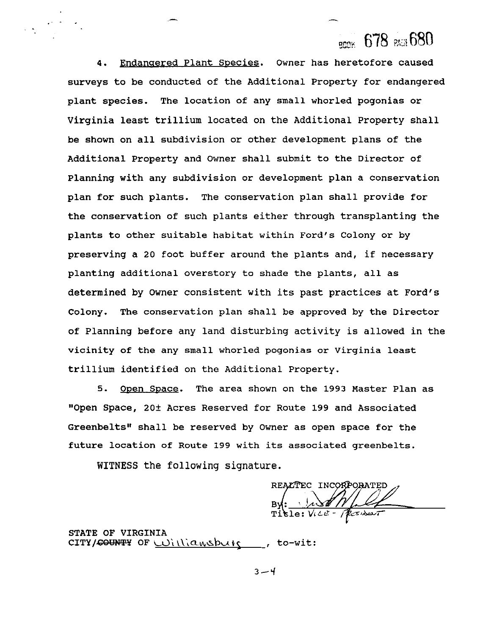$_{\sf gmm}$  678  $_{\sf BUB}$  680

**4.** Endanaered Plant Species. Owner has heretofore caused surveys to be conducted of the Additional Property for endangered plant species. The location of any small whorled pogonias or Virginia least trillium located on the Additional Property shall be shown on all subdivision or other development plans of the Additional Property and Owner shall submit to the Director of Planning with any subdivision or development plan a conservation plan for such plants. The conservation plan shall provide for the conservation of such plants either through transplanting the plants to other suitable habitat within Ford's Colony or by preserving a **20** foot buffer around the plants and, if necessary planting additional overstory to shade the plants, all as determined by Owner consistent with its past practices at Ford's Colony. The conservation plan shall be approved by the Director of Planning before any land disturbing activity is allowed in the vicinity of the any small whorled pogonias or Virginia least trillium identified on the Additional Property.

**5.** Open SDace. The area shown on the 1993 Master Plan as "Open Space, **20f** Acres Reserved for Route 199 and Associated Greenbelts" shall be reserved by Owner as open space for the future location of Route 199 with its associated greenbelts.

WITNESS the following signature.

REALTEC INCORPORATED

STATE OF VIRGINIA CITY/<del>COUNTY</del> OF Williamsburg , to-wit:

 $3 - 4$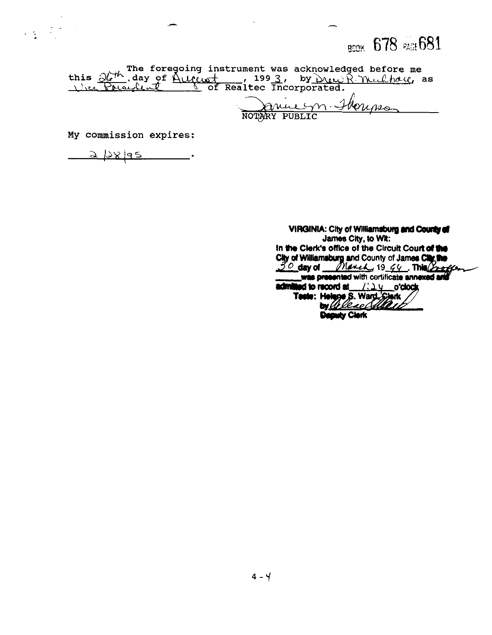**BDDK** 678 PAGE 681

this  $\frac{\partial h^{\prime k}}{\partial \alpha}$ , day of August 1993, by Duck Thuckhau, as<br>this  $\frac{\partial h^{\prime k}}{\partial \alpha}$ , day of August 1993, by Duck Thuckhau, as

Januelyn. Homps

My commission expires:

<u>2 128 195</u>  $\overline{\phantom{a}}$ 

VIRGINIA: City of Williamsburg and County of James City, to Wit: In the Clerk's office of the Circuit Court of the City of Williamsburg and County of James City the<br>
So day of Milliamsburg and County of James City the<br>
was presented with continuate annexed and admitted to record at  $1.24$  o'clock Teste: Helene S. Ward Clerk Deputy Clerk